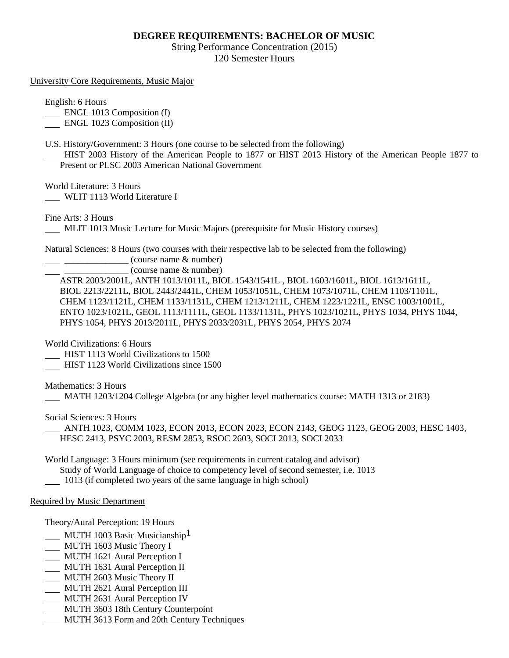## **DEGREE REQUIREMENTS: BACHELOR OF MUSIC**

String Performance Concentration (2015) 120 Semester Hours

#### University Core Requirements, Music Major

English: 6 Hours

**ENGL 1013 Composition (I)** 

ENGL 1023 Composition (II)

U.S. History/Government: 3 Hours (one course to be selected from the following)

 HIST 2003 History of the American People to 1877 or HIST 2013 History of the American People 1877 to Present or PLSC 2003 American National Government

World Literature: 3 Hours

WLIT 1113 World Literature I

Fine Arts: 3 Hours

MLIT 1013 Music Lecture for Music Majors (prerequisite for Music History courses)

Natural Sciences: 8 Hours (two courses with their respective lab to be selected from the following)

 $\frac{1}{2}$   $\frac{1}{2}$   $\frac{1}{2}$   $\frac{1}{2}$   $\frac{1}{2}$   $\frac{1}{2}$   $\frac{1}{2}$   $\frac{1}{2}$   $\frac{1}{2}$   $\frac{1}{2}$   $\frac{1}{2}$   $\frac{1}{2}$   $\frac{1}{2}$   $\frac{1}{2}$   $\frac{1}{2}$   $\frac{1}{2}$   $\frac{1}{2}$   $\frac{1}{2}$   $\frac{1}{2}$   $\frac{1}{2}$   $\frac{1}{2}$   $\frac{1}{2}$ 

\_\_\_\_\_\_\_\_\_\_\_\_\_\_ (course name & number)

ASTR 2003/2001L, ANTH 1013/1011L, BIOL 1543/1541L , BIOL 1603/1601L, BIOL 1613/1611L, BIOL 2213/2211L, BIOL 2443/2441L, CHEM 1053/1051L, CHEM 1073/1071L, CHEM 1103/1101L, CHEM 1123/1121L, CHEM 1133/1131L, CHEM 1213/1211L, CHEM 1223/1221L, ENSC 1003/1001L, ENTO 1023/1021L, GEOL 1113/1111L, GEOL 1133/1131L, PHYS 1023/1021L, PHYS 1034, PHYS 1044, PHYS 1054, PHYS 2013/2011L, PHYS 2033/2031L, PHYS 2054, PHYS 2074

World Civilizations: 6 Hours

HIST 1113 World Civilizations to 1500

HIST 1123 World Civilizations since 1500

Mathematics: 3 Hours

MATH 1203/1204 College Algebra (or any higher level mathematics course: MATH 1313 or 2183)

Social Sciences: 3 Hours

 ANTH 1023, COMM 1023, ECON 2013, ECON 2023, ECON 2143, GEOG 1123, GEOG 2003, HESC 1403, HESC 2413, PSYC 2003, RESM 2853, RSOC 2603, SOCI 2013, SOCI 2033

World Language: 3 Hours minimum (see requirements in current catalog and advisor) Study of World Language of choice to competency level of second semester, i.e. 1013 1013 (if completed two years of the same language in high school)

### Required by Music Department

Theory/Aural Perception: 19 Hours

- **MUTH 1003 Basic Musicianship**<sup>1</sup>
- MUTH 1603 Music Theory I
- MUTH 1621 Aural Perception I
- MUTH 1631 Aural Perception II
- MUTH 2603 Music Theory II
- MUTH 2621 Aural Perception III
- MUTH 2631 Aural Perception IV
- MUTH 3603 18th Century Counterpoint
- MUTH 3613 Form and 20th Century Techniques